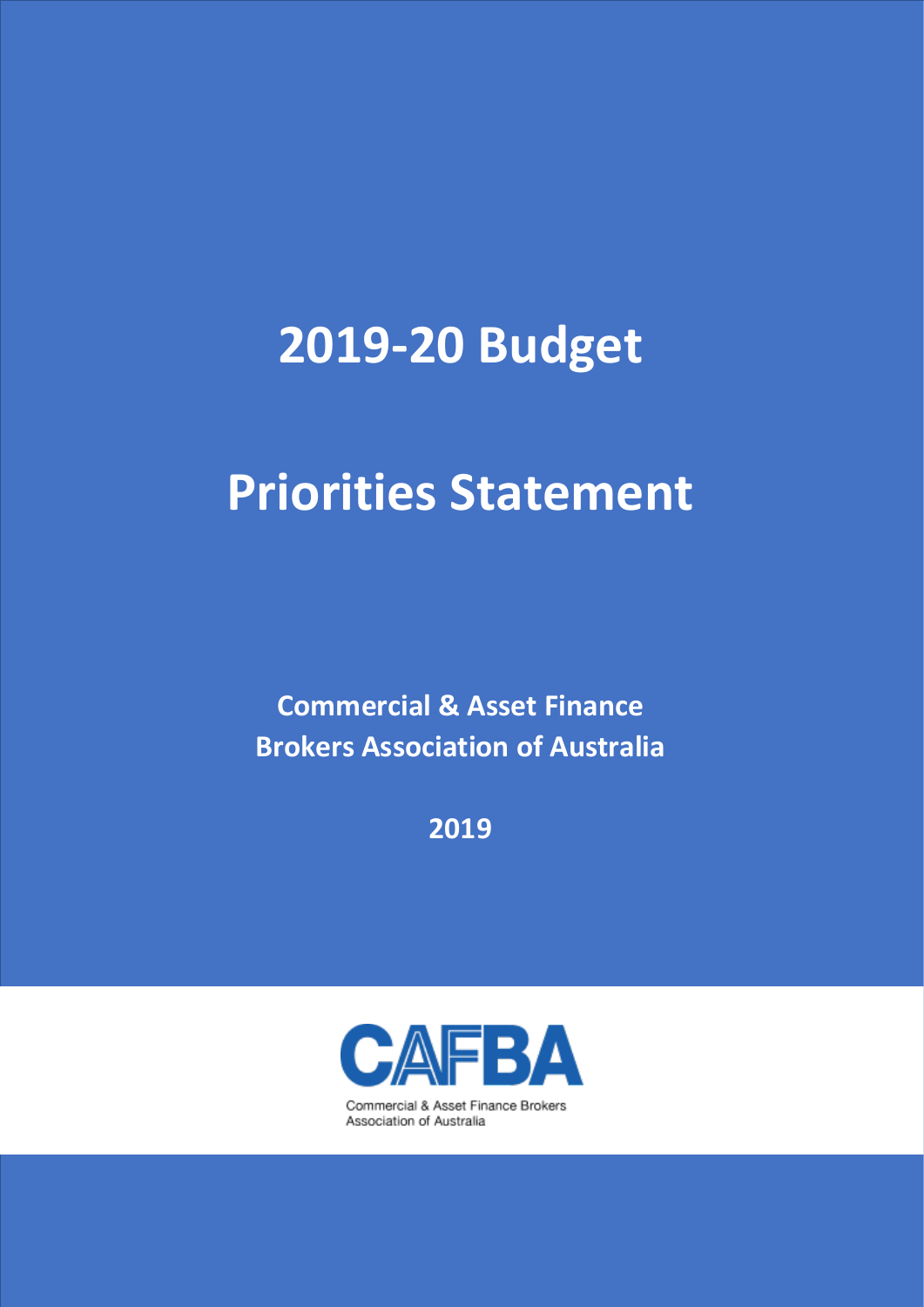# **2019-20 Budget**

# **Priorities Statement**

**Commercial & Asset Finance Brokers Association of Australia**

**2019**



Commercial & Asset Finance Brokers Association of Australia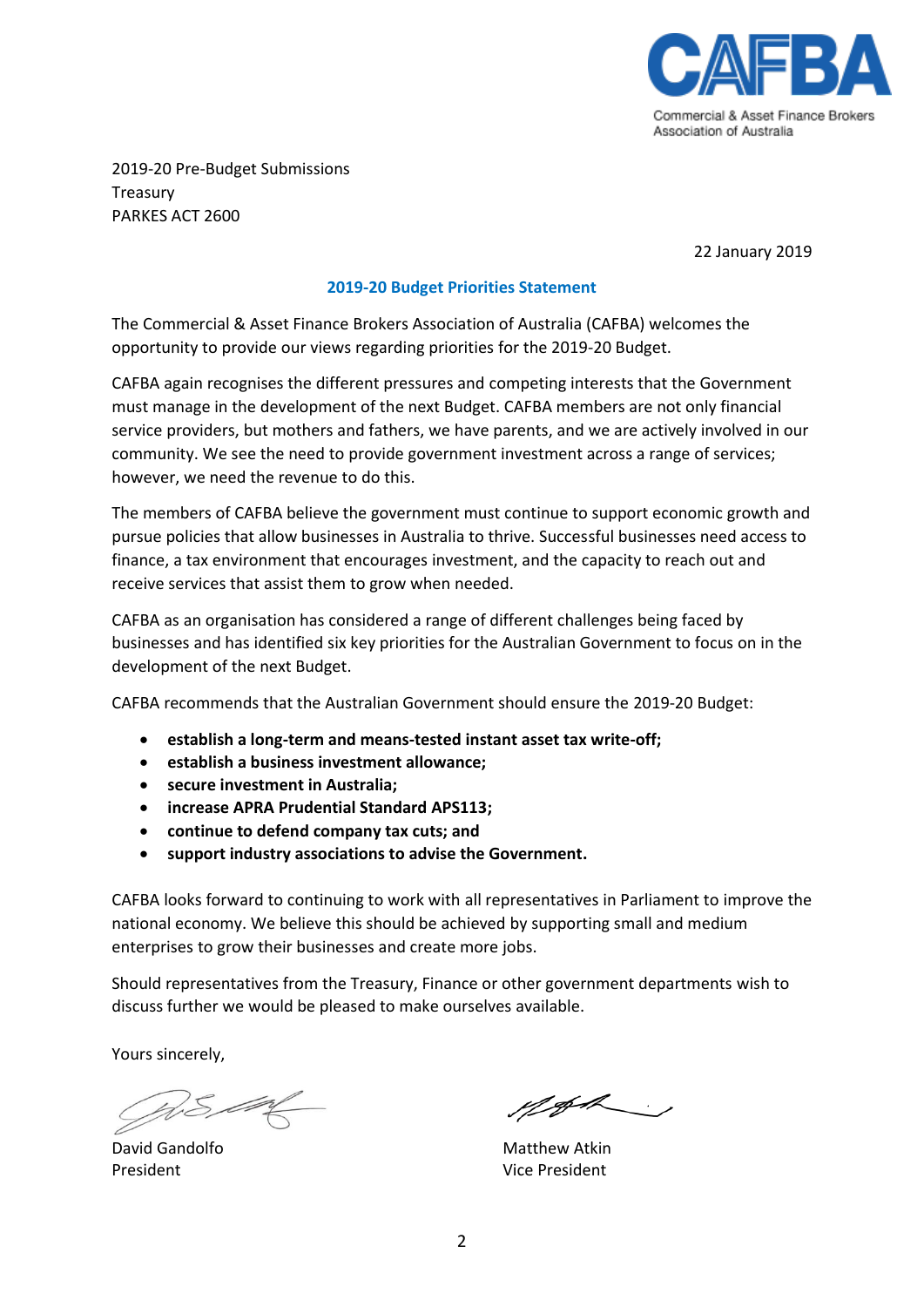

2019-20 Pre-Budget Submissions Treasury PARKES ACT 2600

22 January 2019

#### **2019-20 Budget Priorities Statement**

The Commercial & Asset Finance Brokers Association of Australia (CAFBA) welcomes the opportunity to provide our views regarding priorities for the 2019-20 Budget.

CAFBA again recognises the different pressures and competing interests that the Government must manage in the development of the next Budget. CAFBA members are not only financial service providers, but mothers and fathers, we have parents, and we are actively involved in our community. We see the need to provide government investment across a range of services; however, we need the revenue to do this.

The members of CAFBA believe the government must continue to support economic growth and pursue policies that allow businesses in Australia to thrive. Successful businesses need access to finance, a tax environment that encourages investment, and the capacity to reach out and receive services that assist them to grow when needed.

CAFBA as an organisation has considered a range of different challenges being faced by businesses and has identified six key priorities for the Australian Government to focus on in the development of the next Budget.

CAFBA recommends that the Australian Government should ensure the 2019-20 Budget:

- **establish a long-term and means-tested instant asset tax write-off;**
- **establish a business investment allowance;**
- **secure investment in Australia;**
- **increase APRA Prudential Standard APS113;**
- **continue to defend company tax cuts; and**
- **support industry associations to advise the Government.**

CAFBA looks forward to continuing to work with all representatives in Parliament to improve the national economy. We believe this should be achieved by supporting small and medium enterprises to grow their businesses and create more jobs.

Should representatives from the Treasury, Finance or other government departments wish to discuss further we would be pleased to make ourselves available.

Yours sincerely,

President Vice President

Met

David Gandolfo **Matthew Atkin**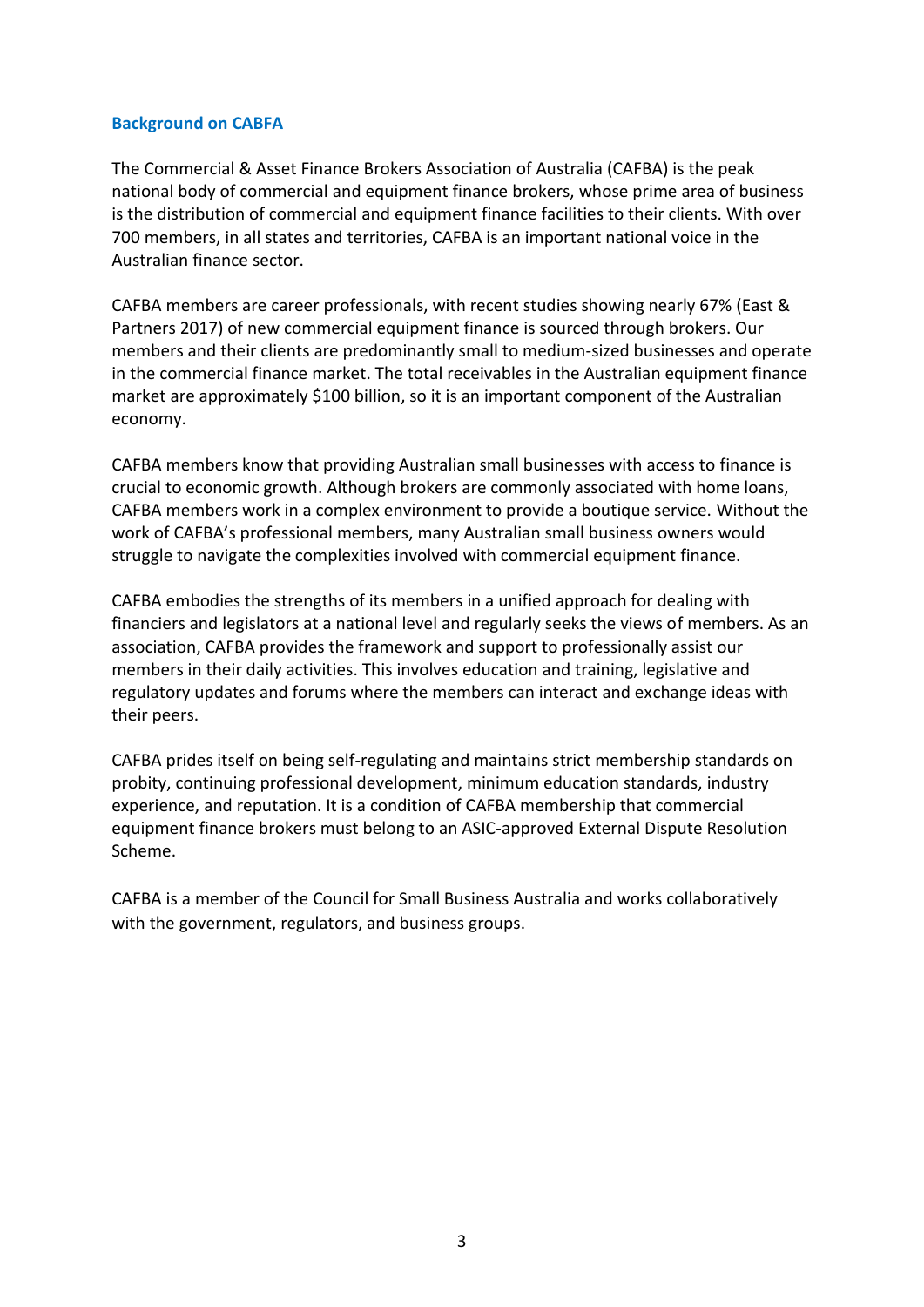#### **Background on CABFA**

The Commercial & Asset Finance Brokers Association of Australia (CAFBA) is the peak national body of commercial and equipment finance brokers, whose prime area of business is the distribution of commercial and equipment finance facilities to their clients. With over 700 members, in all states and territories, CAFBA is an important national voice in the Australian finance sector.

CAFBA members are career professionals, with recent studies showing nearly 67% (East & Partners 2017) of new commercial equipment finance is sourced through brokers. Our members and their clients are predominantly small to medium-sized businesses and operate in the commercial finance market. The total receivables in the Australian equipment finance market are approximately \$100 billion, so it is an important component of the Australian economy.

CAFBA members know that providing Australian small businesses with access to finance is crucial to economic growth. Although brokers are commonly associated with home loans, CAFBA members work in a complex environment to provide a boutique service. Without the work of CAFBA's professional members, many Australian small business owners would struggle to navigate the complexities involved with commercial equipment finance.

CAFBA embodies the strengths of its members in a unified approach for dealing with financiers and legislators at a national level and regularly seeks the views of members. As an association, CAFBA provides the framework and support to professionally assist our members in their daily activities. This involves education and training, legislative and regulatory updates and forums where the members can interact and exchange ideas with their peers.

CAFBA prides itself on being self-regulating and maintains strict membership standards on probity, continuing professional development, minimum education standards, industry experience, and reputation. It is a condition of CAFBA membership that commercial equipment finance brokers must belong to an ASIC-approved External Dispute Resolution Scheme.

CAFBA is a member of the Council for Small Business Australia and works collaboratively with the government, regulators, and business groups.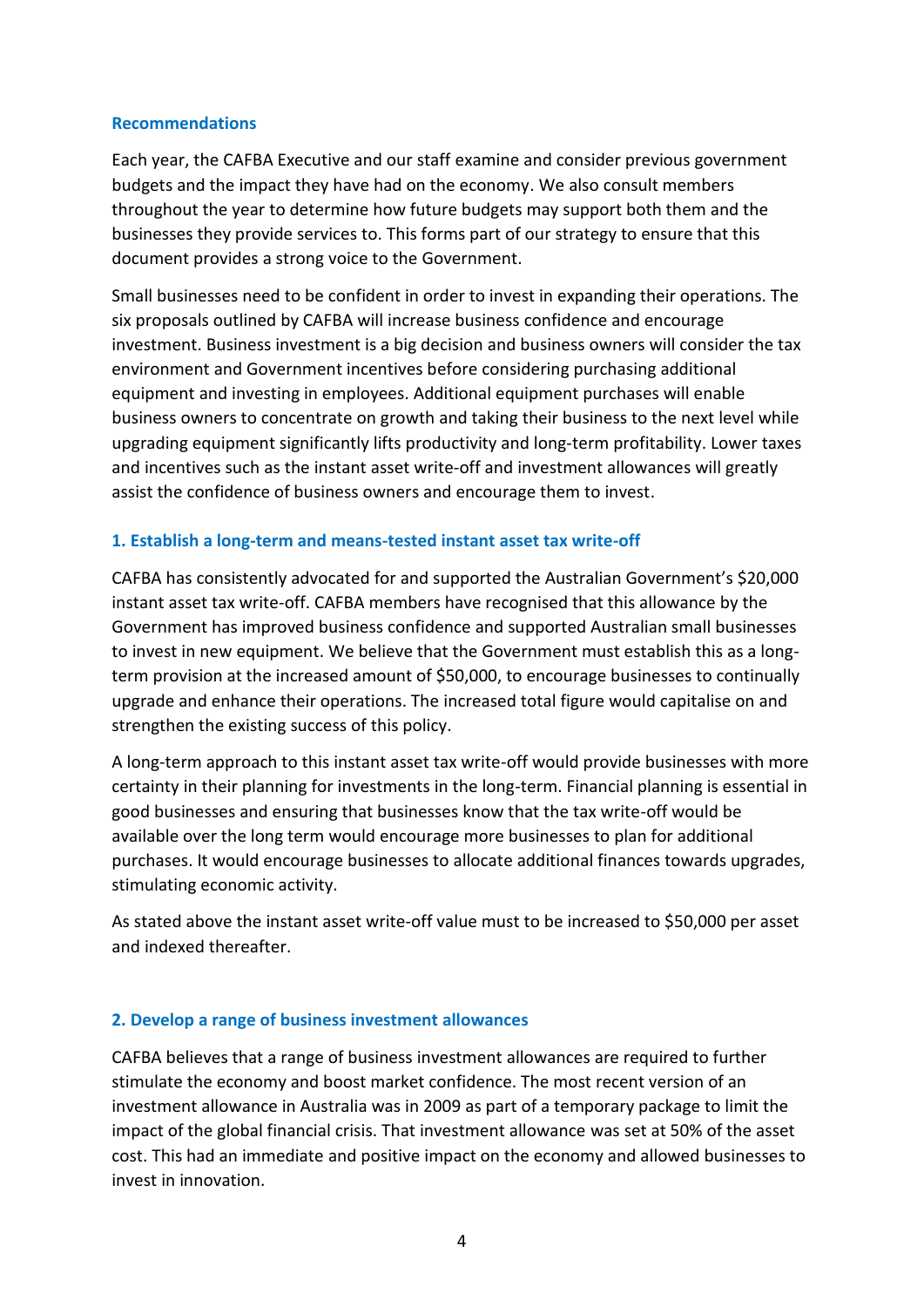# **Recommendations**

Each year, the CAFBA Executive and our staff examine and consider previous government budgets and the impact they have had on the economy. We also consult members throughout the year to determine how future budgets may support both them and the businesses they provide services to. This forms part of our strategy to ensure that this document provides a strong voice to the Government.

Small businesses need to be confident in order to invest in expanding their operations. The six proposals outlined by CAFBA will increase business confidence and encourage investment. Business investment is a big decision and business owners will consider the tax environment and Government incentives before considering purchasing additional equipment and investing in employees. Additional equipment purchases will enable business owners to concentrate on growth and taking their business to the next level while upgrading equipment significantly lifts productivity and long-term profitability. Lower taxes and incentives such as the instant asset write-off and investment allowances will greatly assist the confidence of business owners and encourage them to invest.

# **1. Establish a long-term and means-tested instant asset tax write-off**

CAFBA has consistently advocated for and supported the Australian Government's \$20,000 instant asset tax write-off. CAFBA members have recognised that this allowance by the Government has improved business confidence and supported Australian small businesses to invest in new equipment. We believe that the Government must establish this as a longterm provision at the increased amount of \$50,000, to encourage businesses to continually upgrade and enhance their operations. The increased total figure would capitalise on and strengthen the existing success of this policy.

A long-term approach to this instant asset tax write-off would provide businesses with more certainty in their planning for investments in the long-term. Financial planning is essential in good businesses and ensuring that businesses know that the tax write-off would be available over the long term would encourage more businesses to plan for additional purchases. It would encourage businesses to allocate additional finances towards upgrades, stimulating economic activity.

As stated above the instant asset write-off value must to be increased to \$50,000 per asset and indexed thereafter.

#### **2. Develop a range of business investment allowances**

CAFBA believes that a range of business investment allowances are required to further stimulate the economy and boost market confidence. The most recent version of an investment allowance in Australia was in 2009 as part of a temporary package to limit the impact of the global financial crisis. That investment allowance was set at 50% of the asset cost. This had an immediate and positive impact on the economy and allowed businesses to invest in innovation.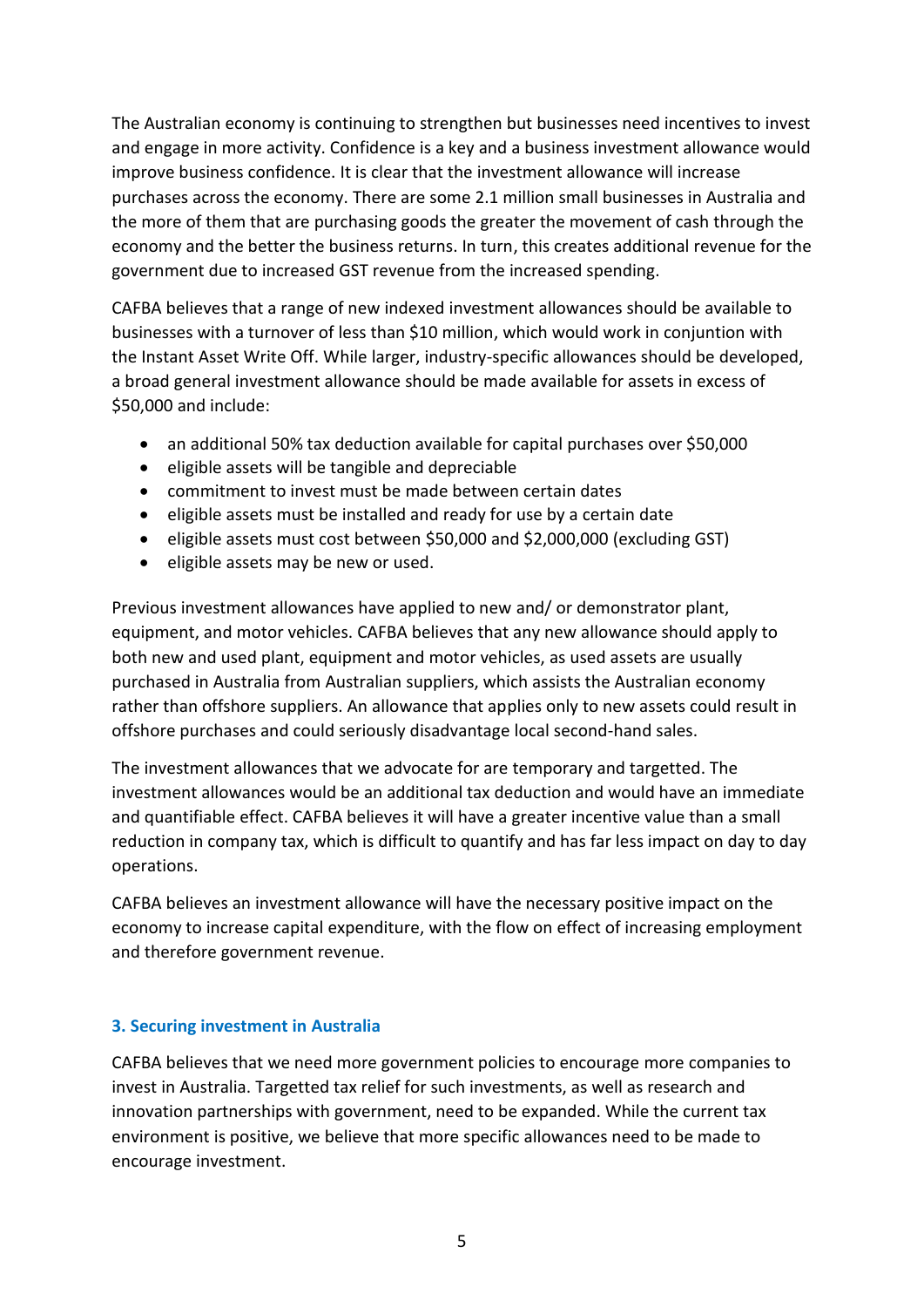The Australian economy is continuing to strengthen but businesses need incentives to invest and engage in more activity. Confidence is a key and a business investment allowance would improve business confidence. It is clear that the investment allowance will increase purchases across the economy. There are some 2.1 million small businesses in Australia and the more of them that are purchasing goods the greater the movement of cash through the economy and the better the business returns. In turn, this creates additional revenue for the government due to increased GST revenue from the increased spending.

CAFBA believes that a range of new indexed investment allowances should be available to businesses with a turnover of less than \$10 million, which would work in conjuntion with the Instant Asset Write Off. While larger, industry-specific allowances should be developed, a broad general investment allowance should be made available for assets in excess of \$50,000 and include:

- an additional 50% tax deduction available for capital purchases over \$50,000
- eligible assets will be tangible and depreciable
- commitment to invest must be made between certain dates
- eligible assets must be installed and ready for use by a certain date
- eligible assets must cost between \$50,000 and \$2,000,000 (excluding GST)
- eligible assets may be new or used.

Previous investment allowances have applied to new and/ or demonstrator plant, equipment, and motor vehicles. CAFBA believes that any new allowance should apply to both new and used plant, equipment and motor vehicles, as used assets are usually purchased in Australia from Australian suppliers, which assists the Australian economy rather than offshore suppliers. An allowance that applies only to new assets could result in offshore purchases and could seriously disadvantage local second-hand sales.

The investment allowances that we advocate for are temporary and targetted. The investment allowances would be an additional tax deduction and would have an immediate and quantifiable effect. CAFBA believes it will have a greater incentive value than a small reduction in company tax, which is difficult to quantify and has far less impact on day to day operations.

CAFBA believes an investment allowance will have the necessary positive impact on the economy to increase capital expenditure, with the flow on effect of increasing employment and therefore government revenue.

# **3. Securing investment in Australia**

CAFBA believes that we need more government policies to encourage more companies to invest in Australia. Targetted tax relief for such investments, as well as research and innovation partnerships with government, need to be expanded. While the current tax environment is positive, we believe that more specific allowances need to be made to encourage investment.